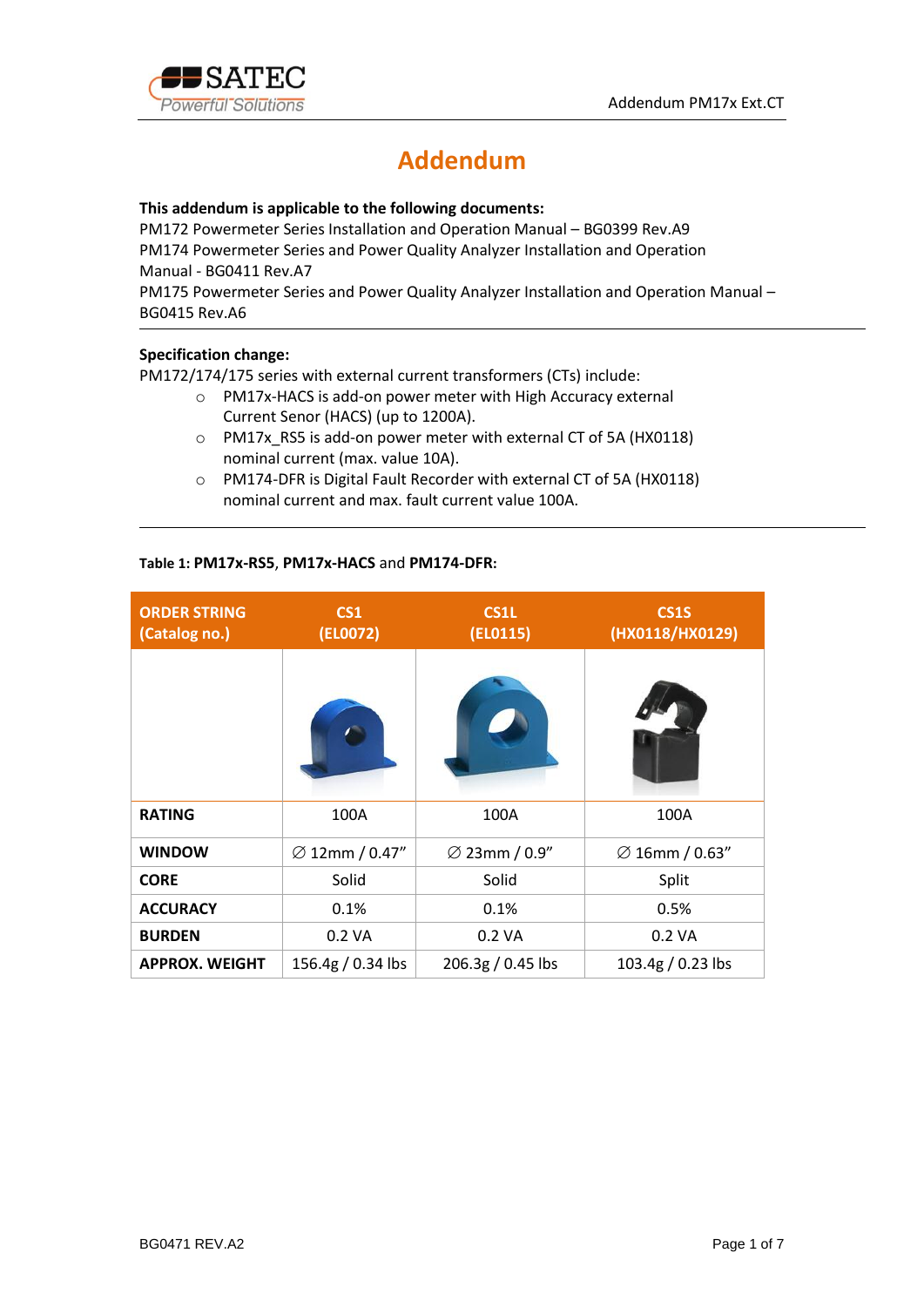

# **Addendum**

### **This addendum is applicable to the following documents:**

PM172 Powermeter Series Installation and Operation Manual – BG0399 Rev.A9 PM174 Powermeter Series and Power Quality Analyzer Installation and Operation Manual - BG0411 Rev.A7

PM175 Powermeter Series and Power Quality Analyzer Installation and Operation Manual – BG0415 Rev.A6

### **Specification change:**

PM172/174/175 series with external current transformers (CTs) include:

- o PM17x-HACS is add-on power meter with High Accuracy external Current Senor (HACS) (up to 1200A).
- o PM17x\_RS5 is add-on power meter with external CT of 5A (HX0118) nominal current (max. value 10A).
- o PM174-DFR is Digital Fault Recorder with external CT of 5A (HX0118) nominal current and max. fault current value 100A.

### **Table 1: PM17x-RS5**, **PM17x-HACS** and **PM174-DFR:**

| <b>ORDER STRING</b><br>(Catalog no.) | CS <sub>1</sub><br>(EL0072) | <b>CS1L</b><br>(EL0115)   | <b>CS1S</b><br>(HX0118/HX0129) |
|--------------------------------------|-----------------------------|---------------------------|--------------------------------|
|                                      |                             |                           |                                |
| <b>RATING</b>                        | 100A                        | 100A                      | 100A                           |
| <b>WINDOW</b>                        | $\varnothing$ 12mm / 0.47"  | $\varnothing$ 23mm / 0.9" | $\varnothing$ 16mm / 0.63"     |
| <b>CORE</b>                          | Solid                       | Solid                     | Split                          |
| <b>ACCURACY</b>                      | 0.1%                        | 0.1%                      | 0.5%                           |
| <b>BURDEN</b>                        | 0.2 VA                      | 0.2 VA                    | 0.2 VA                         |
| <b>APPROX. WEIGHT</b>                | 156.4g / 0.34 lbs           | 206.3g / 0.45 lbs         | 103.4g / 0.23 lbs              |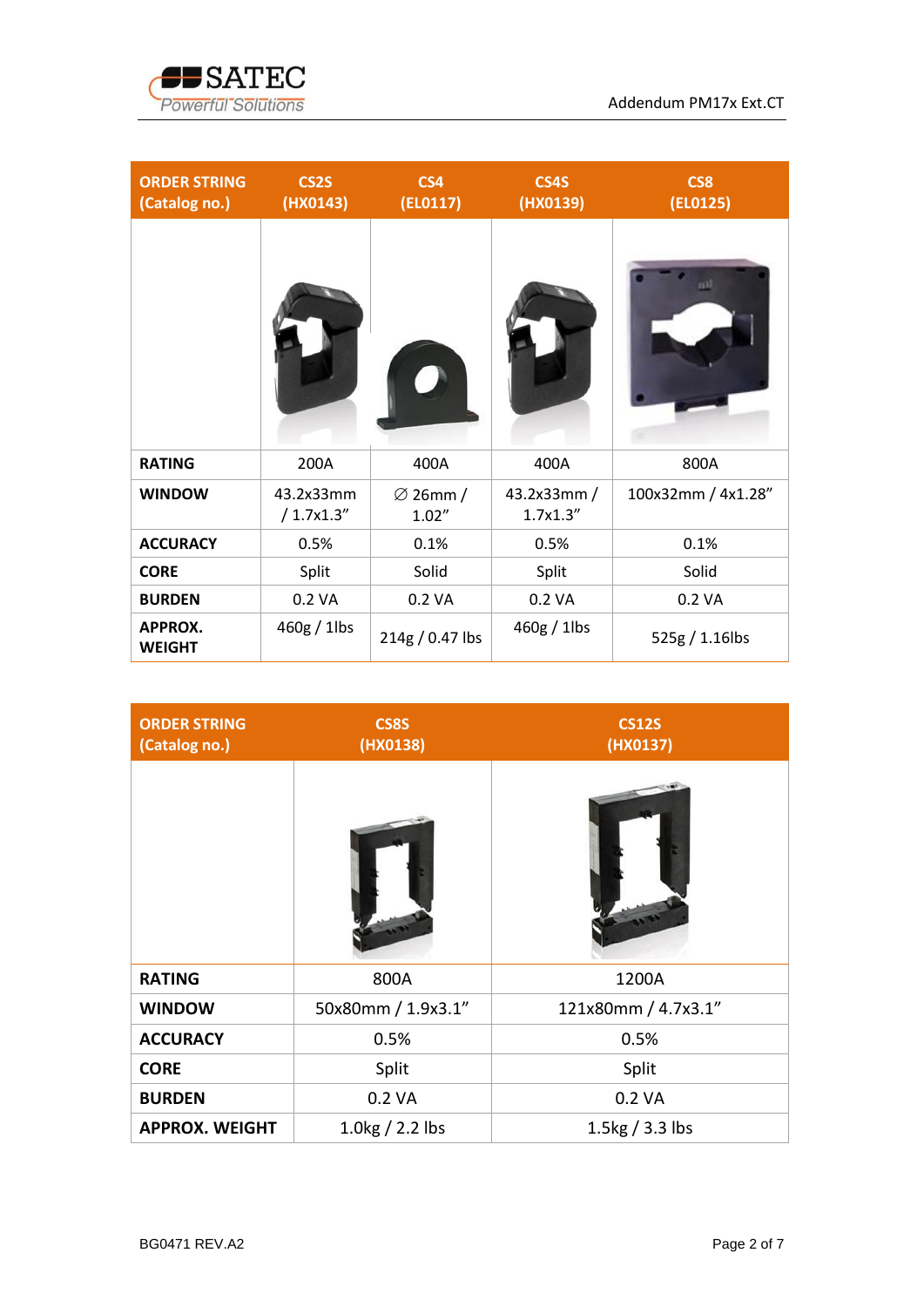

| <b>ORDER STRING</b><br>(Catalog no.) | <b>CS2S</b><br>(HX0143) | CS4<br>(ELO117)               | CS4S<br>(HX0139)         | CS8<br>(EL0125)    |
|--------------------------------------|-------------------------|-------------------------------|--------------------------|--------------------|
|                                      |                         |                               |                          | nal                |
| <b>RATING</b>                        | 200A                    | 400A                          | 400A                     | 800A               |
| <b>WINDOW</b>                        | 43.2x33mm<br>/1.7x1.3'' | $\varnothing$ 26mm /<br>1.02" | 43.2x33mm /<br>1.7x1.3'' | 100x32mm / 4x1.28" |
| <b>ACCURACY</b>                      | 0.5%                    | 0.1%                          | 0.5%                     | 0.1%               |
| <b>CORE</b>                          | Split                   | Solid                         | Split                    | Solid              |
| <b>BURDEN</b>                        | 0.2 VA                  | 0.2 VA                        | 0.2 VA                   | 0.2 VA             |
| <b>APPROX.</b><br><b>WEIGHT</b>      | $460g / 1$ lbs          | 214g / 0.47 lbs               | $460g / 1$ lbs           | 525g / 1.16lbs     |

| <b>ORDER STRING</b><br>(Catalog no.) | <b>CS8S</b><br>(HX0138) | <b>CS12S</b><br>(HX0137) |
|--------------------------------------|-------------------------|--------------------------|
|                                      |                         |                          |
| <b>RATING</b>                        | 800A                    | 1200A                    |
| <b>WINDOW</b>                        | 50x80mm / 1.9x3.1"      | 121x80mm / 4.7x3.1"      |
| <b>ACCURACY</b>                      | 0.5%                    | 0.5%                     |
| <b>CORE</b>                          | Split                   | Split                    |
| <b>BURDEN</b>                        | 0.2 VA                  | 0.2 VA                   |
| <b>APPROX. WEIGHT</b>                | $1.0$ kg $/ 2.2$ lbs    | 1.5 $kg/3.3$ lbs         |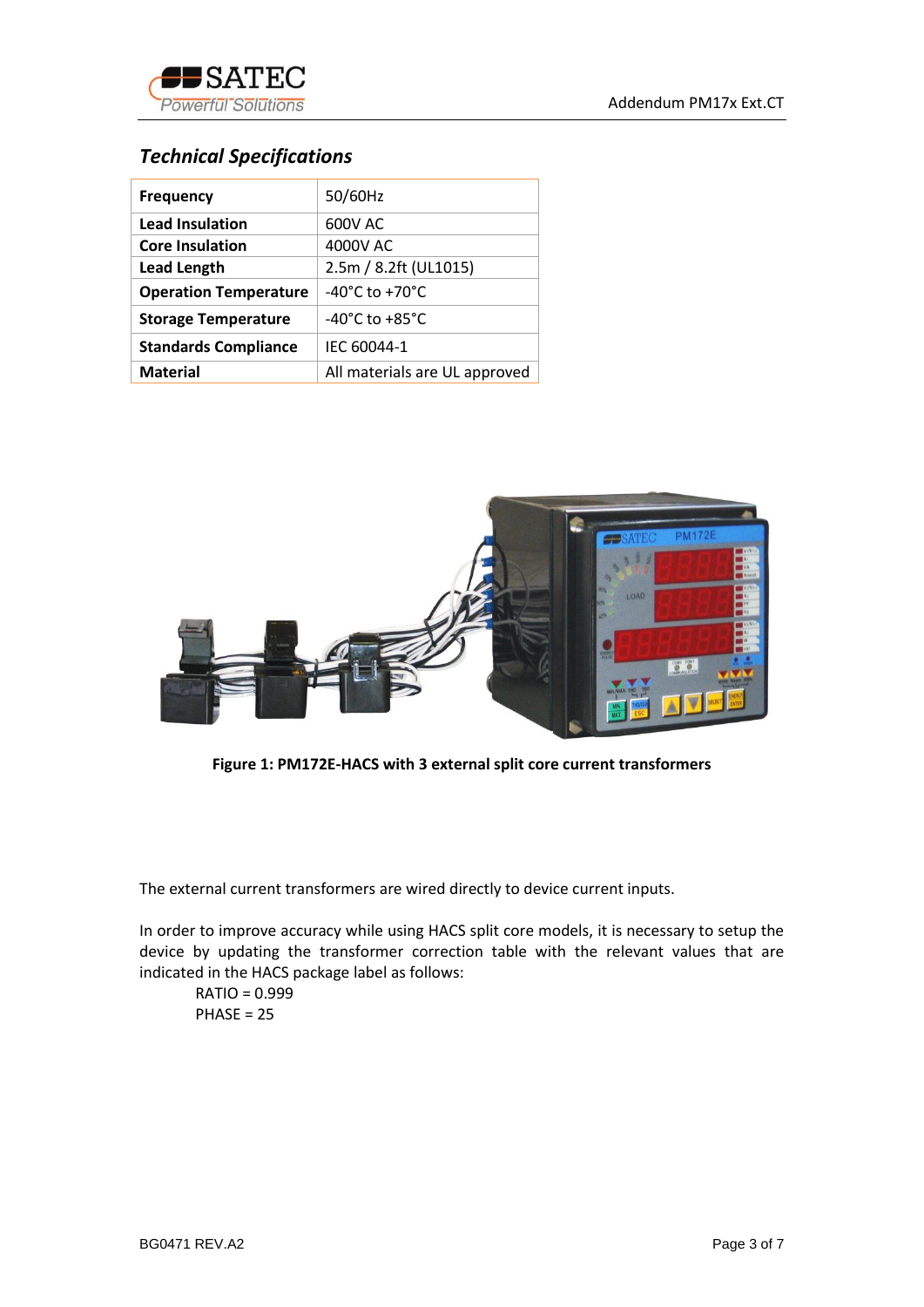



## *Technical Specifications*

| <b>Frequency</b>             | 50/60Hz                            |  |
|------------------------------|------------------------------------|--|
| <b>Lead Insulation</b>       | 600V AC                            |  |
| <b>Core Insulation</b>       | 4000V AC                           |  |
| <b>Lead Length</b>           | 2.5m / 8.2ft (UL1015)              |  |
| <b>Operation Temperature</b> | $-40^{\circ}$ C to $+70^{\circ}$ C |  |
| <b>Storage Temperature</b>   | $-40^{\circ}$ C to $+85^{\circ}$ C |  |
| <b>Standards Compliance</b>  | IEC 60044-1                        |  |
| <b>Material</b>              | All materials are UL approved      |  |



**Figure 1: PM172E-HACS with 3 external split core current transformers**

The external current transformers are wired directly to device current inputs.

In order to improve accuracy while using HACS split core models, it is necessary to setup the device by updating the transformer correction table with the relevant values that are indicated in the HACS package label as follows:

RATIO = 0.999  $PHASE = 25$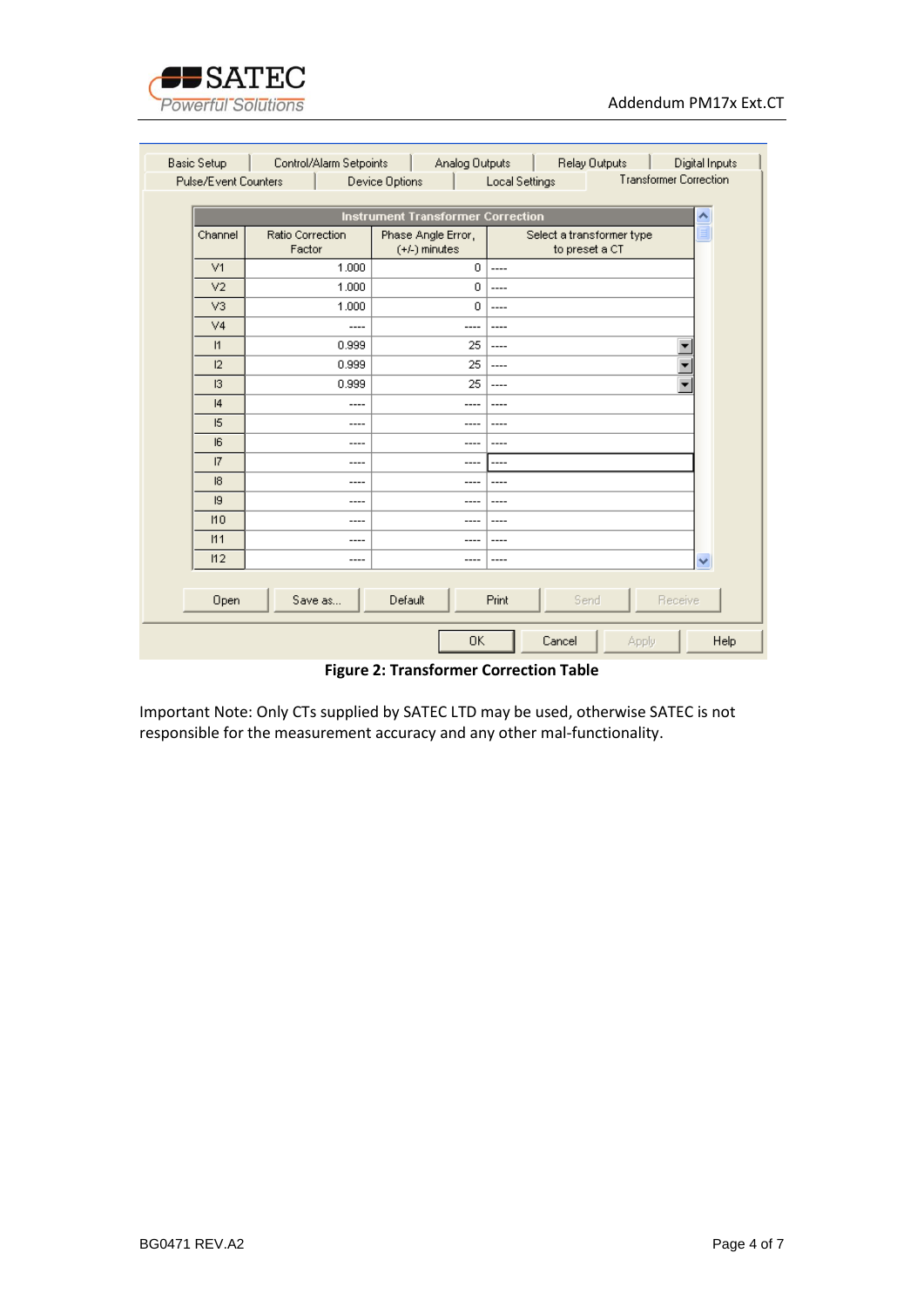

| <b>Basic Setup</b> | Control/Alarm Setpoints                                                                   | Analog Outputs                        |        | Relay Outputs                               | Digital Inputs |
|--------------------|-------------------------------------------------------------------------------------------|---------------------------------------|--------|---------------------------------------------|----------------|
|                    | <b>Transformer Correction</b><br>Pulse/Event Counters<br>Local Settings<br>Device Options |                                       |        |                                             |                |
|                    |                                                                                           |                                       |        |                                             |                |
|                    | <b>Instrument Transformer Correction</b><br>۸                                             |                                       |        |                                             |                |
| Channel            | <b>Ratio Correction</b><br>Factor                                                         | Phase Angle Error,<br>$(+/-)$ minutes |        | Select a transformer type<br>to preset a CT | E              |
| V1                 | 1.000                                                                                     | $\Omega$                              | $---$  |                                             |                |
| V <sub>2</sub>     | 1.000                                                                                     | 0                                     | ----   |                                             |                |
| V <sub>3</sub>     | 1.000                                                                                     | $\mathbf{0}$                          | $---$  |                                             |                |
| V <sub>4</sub>     | ----                                                                                      |                                       |        |                                             |                |
| 1                  | 0.999                                                                                     | 25                                    | $---$  |                                             |                |
| 12                 | 0.999                                                                                     | 25                                    | ----   |                                             |                |
| 13                 | 0.999                                                                                     | 25                                    | ----   |                                             | ▼              |
| 4                  | ----                                                                                      |                                       | ----   |                                             |                |
| 15                 | ----                                                                                      |                                       |        |                                             |                |
| 6                  | ----                                                                                      |                                       |        |                                             |                |
| 17                 | ----                                                                                      |                                       | ----   |                                             |                |
| $\mathsf{I}8$      | ----                                                                                      |                                       |        |                                             |                |
| 9                  | ----                                                                                      | ---                                   | ----   |                                             |                |
| 110                | ----                                                                                      | ---                                   |        |                                             |                |
| 111                | ----                                                                                      |                                       |        |                                             |                |
| 112                | ----                                                                                      | ---                                   | ----   |                                             | v              |
|                    |                                                                                           |                                       |        |                                             |                |
| Open               | Save as                                                                                   | Default                               | Print  | Send                                        | Receive        |
|                    |                                                                                           | 0K                                    | Cancel | Apply                                       | Help           |

**Figure 2: Transformer Correction Table**

Important Note: Only CTs supplied by SATEC LTD may be used, otherwise SATEC is not responsible for the measurement accuracy and any other mal-functionality.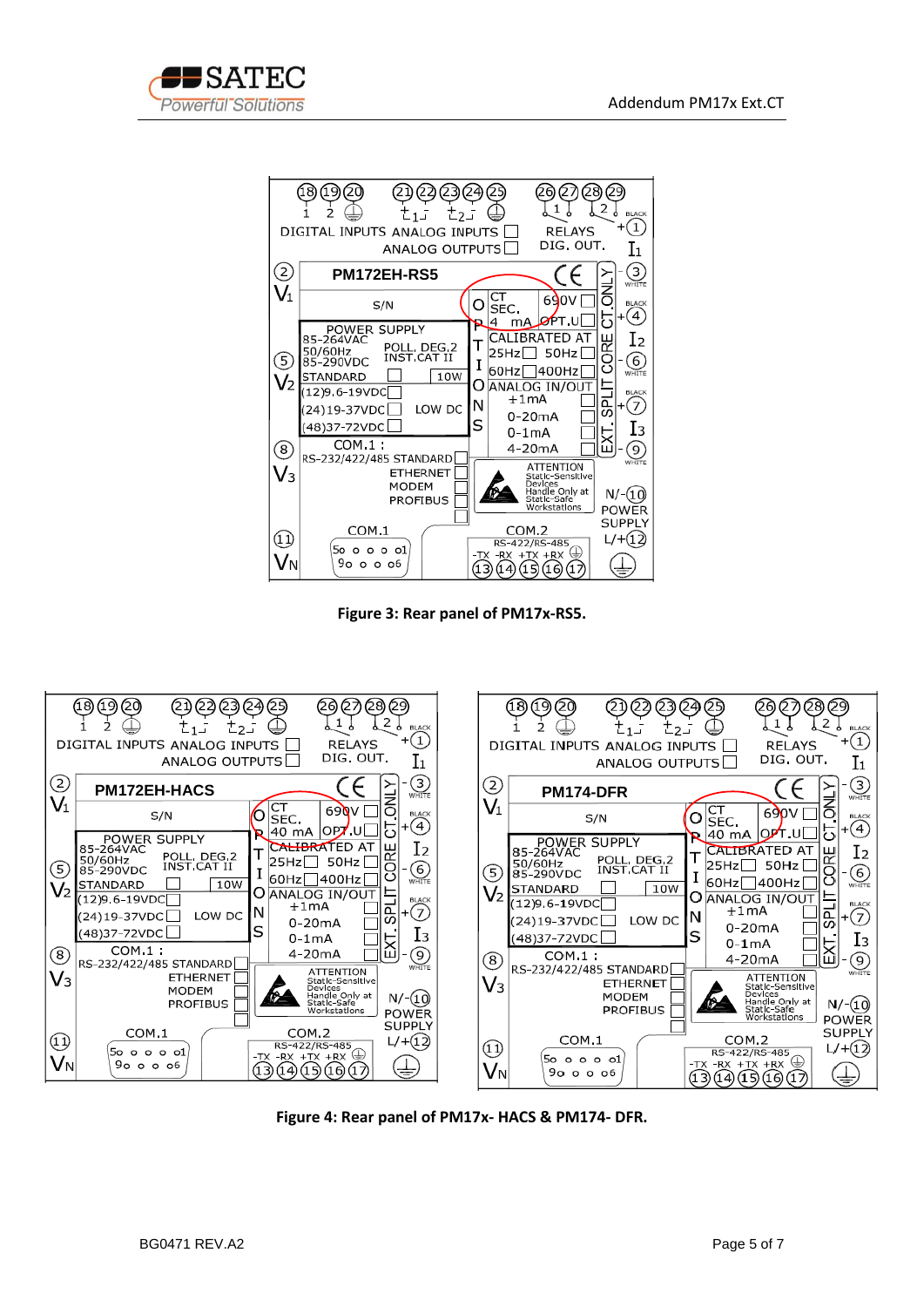



**Figure 3: Rear panel of PM17x-RS5.**



**Figure 4: Rear panel of PM17x- HACS & PM174- DFR.**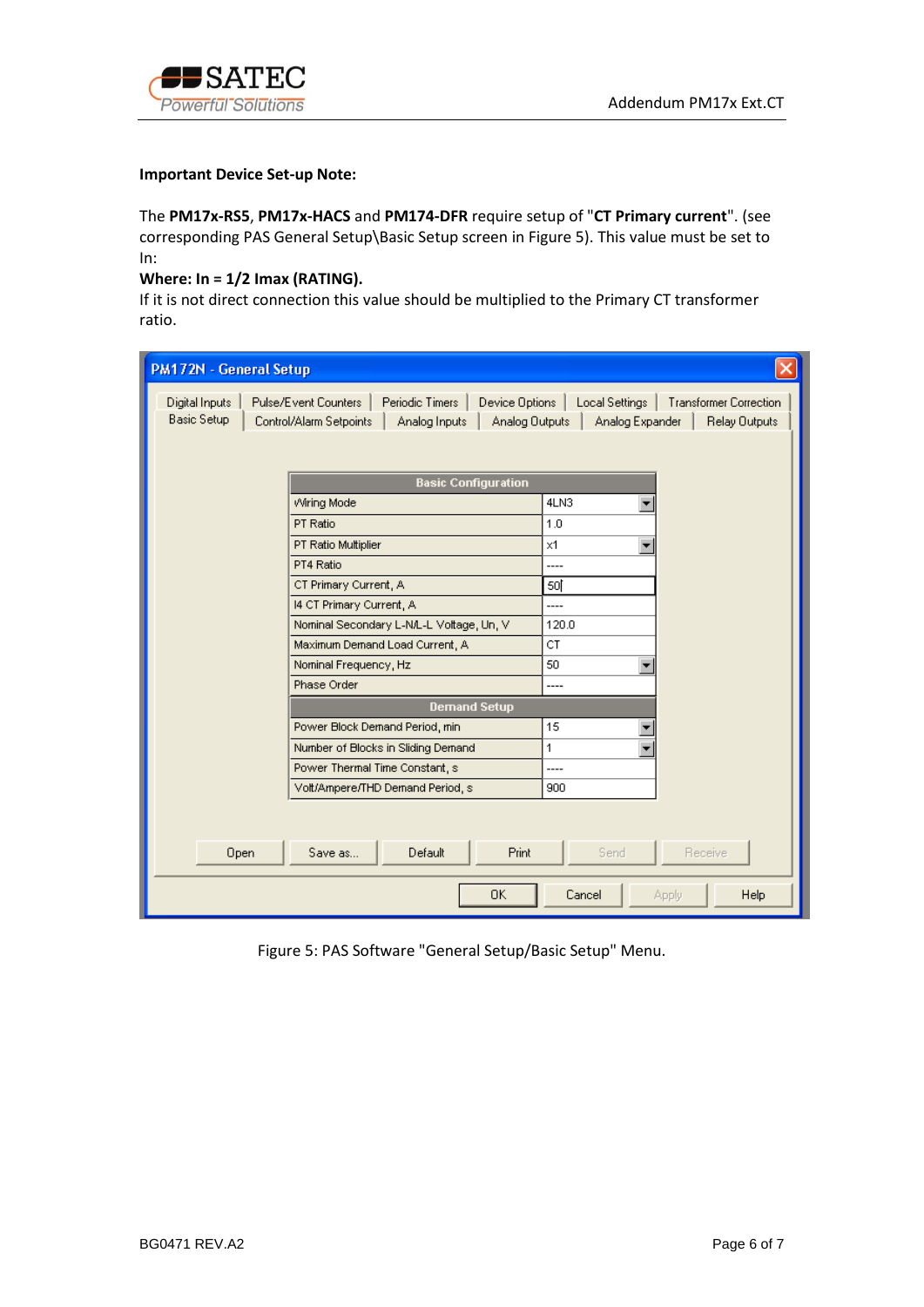

#### **Important Device Set-up Note:**

The **PM17x-RS5**, **PM17x-HACS** and **PM174-DFR** require setup of "**CT Primary current**". (see corresponding PAS General Setup\Basic Setup screen in Figure 5). This value must be set to In:

### **Where: In = 1/2 Imax (RATING).**

If it is not direct connection this value should be multiplied to the Primary CT transformer ratio.

| PM172N - General Setup                                                                                                                                                                                                                                          |                                          |                                |  |
|-----------------------------------------------------------------------------------------------------------------------------------------------------------------------------------------------------------------------------------------------------------------|------------------------------------------|--------------------------------|--|
| Local Settings  <br>Digital Inputs<br>Pulse/Event Counters<br>Periodic Timers<br>Device Options<br><b>Transformer Correction</b><br><b>Basic Setup</b><br>Analog Outputs<br>Analog Expander<br><b>Relay Outputs</b><br>Control/Alarm Setpoints<br>Analog Inputs |                                          |                                |  |
|                                                                                                                                                                                                                                                                 | <b>Basic Configuration</b>               |                                |  |
|                                                                                                                                                                                                                                                                 | Wiring Mode                              | 4LN3                           |  |
|                                                                                                                                                                                                                                                                 | PT Ratio                                 | 1.0                            |  |
|                                                                                                                                                                                                                                                                 | PT Ratio Multiplier                      | $\times$ 1                     |  |
|                                                                                                                                                                                                                                                                 | PT4 Ratio                                | ----                           |  |
|                                                                                                                                                                                                                                                                 | CT Primary Current, A                    | 50j                            |  |
|                                                                                                                                                                                                                                                                 | 14 CT Primary Current, A                 | ----                           |  |
|                                                                                                                                                                                                                                                                 | Nominal Secondary L-N/L-L Voltage, Un, V | 120.0                          |  |
|                                                                                                                                                                                                                                                                 | Maximum Demand Load Current, A           | CT.                            |  |
|                                                                                                                                                                                                                                                                 | Nominal Frequency, Hz                    | ∍<br>50                        |  |
|                                                                                                                                                                                                                                                                 | Phase Order                              | ----                           |  |
|                                                                                                                                                                                                                                                                 | <b>Demand Setup</b>                      |                                |  |
|                                                                                                                                                                                                                                                                 | Power Block Demand Period, min.          | 15                             |  |
|                                                                                                                                                                                                                                                                 | Number of Blocks in Sliding Demand       | 1                              |  |
|                                                                                                                                                                                                                                                                 | Power Thermal Time Constant, s           | ----                           |  |
|                                                                                                                                                                                                                                                                 | Volt/Ampere/THD Demand Period, s         | 900                            |  |
|                                                                                                                                                                                                                                                                 |                                          |                                |  |
| Open                                                                                                                                                                                                                                                            | Default<br><b>Print</b><br>Save as       | Send<br>Receive                |  |
|                                                                                                                                                                                                                                                                 | 0K                                       | Cancel<br><b>Help</b><br>Apply |  |

Figure 5: PAS Software "General Setup/Basic Setup" Menu.